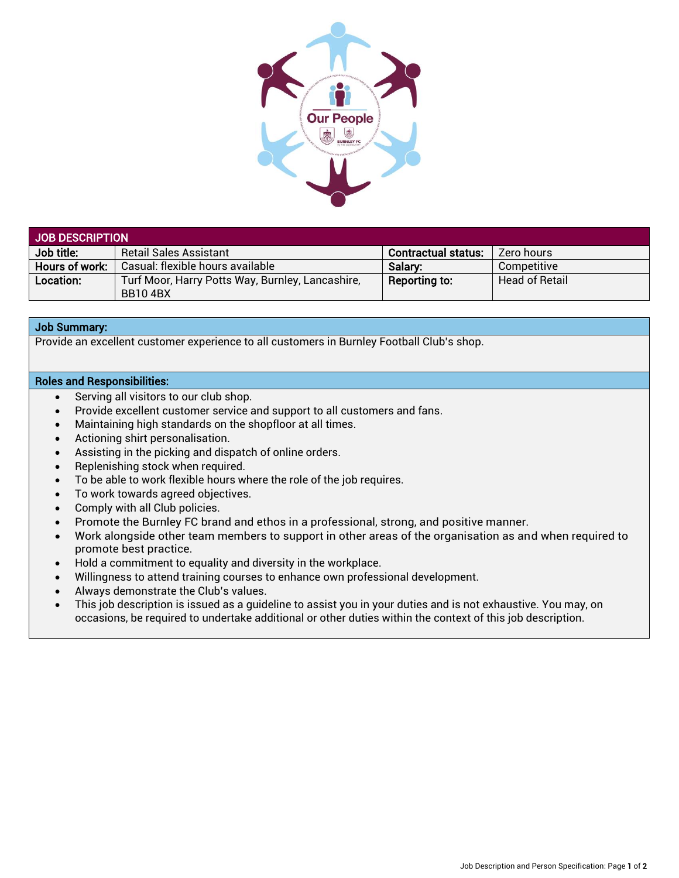

| JOB DESCRIPTION |                                                                    |                            |                       |  |
|-----------------|--------------------------------------------------------------------|----------------------------|-----------------------|--|
| Job title:      | Retail Sales Assistant                                             | <b>Contractual status:</b> | Zero hours            |  |
| Hours of work:  | Casual: flexible hours available                                   | Salary:                    | Competitive           |  |
| Location:       | Turf Moor, Harry Potts Way, Burnley, Lancashire,<br><b>BB104BX</b> | Reporting to:              | <b>Head of Retail</b> |  |

## Job Summary:

Provide an excellent customer experience to all customers in Burnley Football Club's shop.

## Roles and Responsibilities:

- Serving all visitors to our club shop.
- Provide excellent customer service and support to all customers and fans.
- Maintaining high standards on the shopfloor at all times.
- Actioning shirt personalisation.
- Assisting in the picking and dispatch of online orders.
- Replenishing stock when required.
- To be able to work flexible hours where the role of the job requires.
- To work towards agreed objectives.
- Comply with all Club policies.
- Promote the Burnley FC brand and ethos in a professional, strong, and positive manner.
- Work alongside other team members to support in other areas of the organisation as and when required to promote best practice.
- Hold a commitment to equality and diversity in the workplace.
- Willingness to attend training courses to enhance own professional development.
- Always demonstrate the Club's values.
- This job description is issued as a guideline to assist you in your duties and is not exhaustive. You may, on occasions, be required to undertake additional or other duties within the context of this job description.